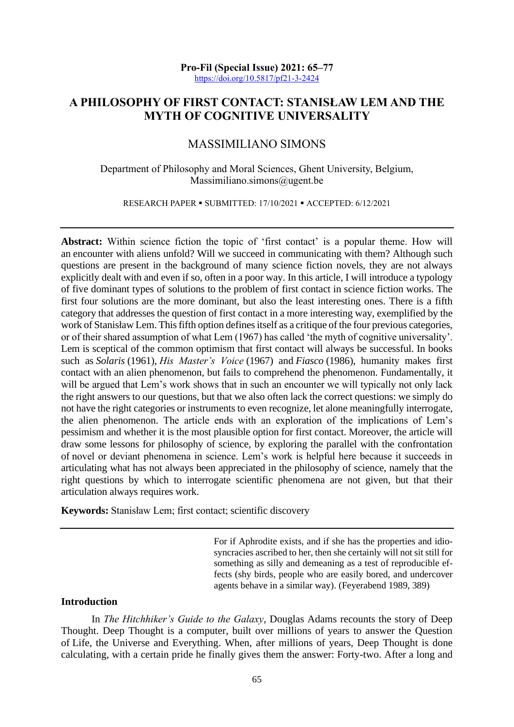**Pro-Fil (Special Issue) 2021: 65–77** <https://doi.org/10.5817/pf21-3-2424>

# **A PHILOSOPHY OF FIRST CONTACT: STANISŁAW LEM AND THE MYTH OF COGNITIVE UNIVERSALITY**

# MASSIMILIANO SIMONS

#### Department of Philosophy and Moral Sciences, Ghent University, Belgium, Massimiliano.simons@ugent.be

RESEARCH PAPER · SUBMITTED: 17/10/2021 · ACCEPTED: 6/12/2021

Abstract: Within science fiction the topic of 'first contact' is a popular theme. How will an encounter with aliens unfold? Will we succeed in communicating with them? Although such questions are present in the background of many science fiction novels, they are not always explicitly dealt with and even if so, often in a poor way. In this article, I will introduce a typology of five dominant types of solutions to the problem of first contact in science fiction works. The first four solutions are the more dominant, but also the least interesting ones. There is a fifth category that addresses the question of first contact in a more interesting way, exemplified by the work of Stanisław Lem. This fifth option defines itself as a critique of the four previous categories, or of their shared assumption of what Lem (1967) has called 'the myth of cognitive universality'. Lem is sceptical of the common optimism that first contact will always be successful. In books such as *Solaris* (1961), *His Master's Voice* (1967) and *Fiasco* (1986), humanity makes first contact with an alien phenomenon, but fails to comprehend the phenomenon. Fundamentally, it will be argued that Lem's work shows that in such an encounter we will typically not only lack the right answers to our questions, but that we also often lack the correct questions: we simply do not have the right categories or instruments to even recognize, let alone meaningfully interrogate, the alien phenomenon. The article ends with an exploration of the implications of Lem's pessimism and whether it is the most plausible option for first contact. Moreover, the article will draw some lessons for philosophy of science, by exploring the parallel with the confrontation of novel or deviant phenomena in science. Lem's work is helpful here because it succeeds in articulating what has not always been appreciated in the philosophy of science, namely that the right questions by which to interrogate scientific phenomena are not given, but that their articulation always requires work.

**Keywords:** Stanisław Lem; first contact; scientific discovery

For if Aphrodite exists, and if she has the properties and idiosyncracies ascribed to her, then she certainly will not sit still for something as silly and demeaning as a test of reproducible effects (shy birds, people who are easily bored, and undercover agents behave in a similar way). (Feyerabend 1989, 389)

#### **Introduction**

In *The Hitchhiker's Guide to the Galaxy*, Douglas Adams recounts the story of Deep Thought. Deep Thought is a computer, built over millions of years to answer the Question of Life, the Universe and Everything. When, after millions of years, Deep Thought is done calculating, with a certain pride he finally gives them the answer: Forty-two. After a long and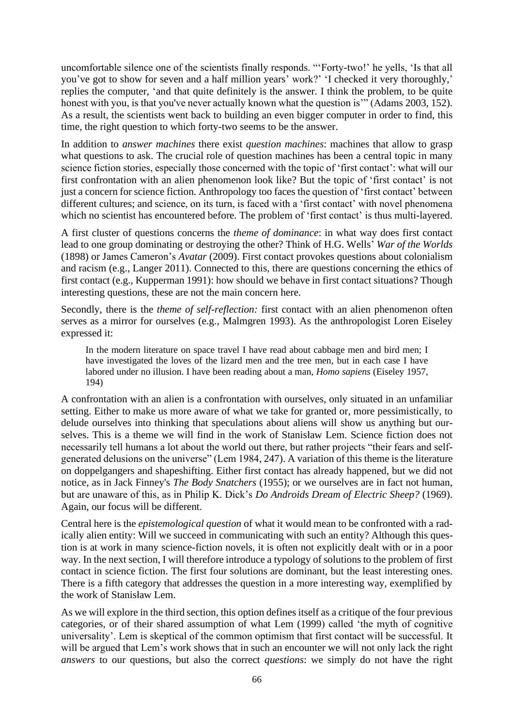uncomfortable silence one of the scientists finally responds. "'Forty-two!' he yells, 'Is that all you've got to show for seven and a half million years' work?' 'I checked it very thoroughly,' replies the computer, 'and that quite definitely is the answer. I think the problem, to be quite honest with you, is that you've never actually known what the question is'" (Adams 2003, 152). As a result, the scientists went back to building an even bigger computer in order to find, this time, the right question to which forty-two seems to be the answer.

In addition to *answer machines* there exist *question machines*: machines that allow to grasp what questions to ask. The crucial role of question machines has been a central topic in many science fiction stories, especially those concerned with the topic of 'first contact': what will our first confrontation with an alien phenomenon look like? But the topic of 'first contact' is not just a concern for science fiction. Anthropology too faces the question of 'first contact' between different cultures; and science, on its turn, is faced with a 'first contact' with novel phenomena which no scientist has encountered before. The problem of 'first contact' is thus multi-layered.

A first cluster of questions concerns the *theme of dominance*: in what way does first contact lead to one group dominating or destroying the other? Think of H.G. Wells' *War of the Worlds*  (1898) or James Cameron's *Avatar* (2009). First contact provokes questions about colonialism and racism (e.g., Langer 2011). Connected to this, there are questions concerning the ethics of first contact (e.g., Kupperman 1991): how should we behave in first contact situations? Though interesting questions, these are not the main concern here.

Secondly, there is the *theme of self-reflection:* first contact with an alien phenomenon often serves as a mirror for ourselves (e.g., Malmgren 1993). As the anthropologist Loren Eiseley expressed it:

In the modern literature on space travel I have read about cabbage men and bird men; I have investigated the loves of the lizard men and the tree men, but in each case I have labored under no illusion. I have been reading about a man, *Homo sapiens* (Eiseley 1957, 194)

A confrontation with an alien is a confrontation with ourselves, only situated in an unfamiliar setting. Either to make us more aware of what we take for granted or, more pessimistically, to delude ourselves into thinking that speculations about aliens will show us anything but ourselves. This is a theme we will find in the work of Stanisław Lem. Science fiction does not necessarily tell humans a lot about the world out there, but rather projects "their fears and selfgenerated delusions on the universe" (Lem 1984, 247). A variation of this theme is the literature on doppelgangers and shapeshifting. Either first contact has already happened, but we did not notice, as in Jack Finney's *The Body Snatchers* (1955); or we ourselves are in fact not human, but are unaware of this, as in Philip K. Dick's *Do Androids Dream of Electric Sheep?* (1969). Again, our focus will be different.

Central here is the *epistemological question* of what it would mean to be confronted with a radically alien entity: Will we succeed in communicating with such an entity? Although this question is at work in many science-fiction novels, it is often not explicitly dealt with or in a poor way. In the next section, I will therefore introduce a typology of solutions to the problem of first contact in science fiction. The first four solutions are dominant, but the least interesting ones. There is a fifth category that addresses the question in a more interesting way, exemplified by the work of Stanisław Lem.

As we will explore in the third section, this option defines itself as a critique of the four previous categories, or of their shared assumption of what Lem (1999) called 'the myth of cognitive universality'. Lem is skeptical of the common optimism that first contact will be successful. It will be argued that Lem's work shows that in such an encounter we will not only lack the right *answers* to our questions, but also the correct *questions*: we simply do not have the right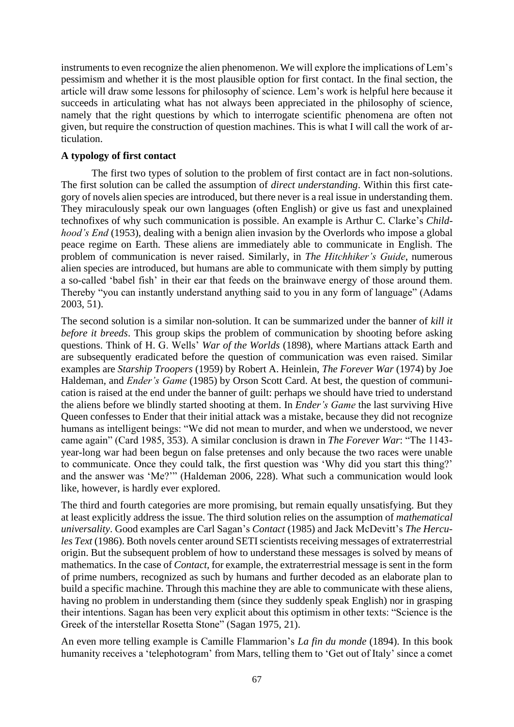instruments to even recognize the alien phenomenon. We will explore the implications of Lem's pessimism and whether it is the most plausible option for first contact. In the final section, the article will draw some lessons for philosophy of science. Lem's work is helpful here because it succeeds in articulating what has not always been appreciated in the philosophy of science, namely that the right questions by which to interrogate scientific phenomena are often not given, but require the construction of question machines. This is what I will call the work of articulation.

# **A typology of first contact**

The first two types of solution to the problem of first contact are in fact non-solutions. The first solution can be called the assumption of *direct understanding*. Within this first category of novels alien species are introduced, but there never is a real issue in understanding them. They miraculously speak our own languages (often English) or give us fast and unexplained technofixes of why such communication is possible. An example is Arthur C. Clarke's *Childhood's End* (1953), dealing with a benign alien invasion by the Overlords who impose a global peace regime on Earth. These aliens are immediately able to communicate in English. The problem of communication is never raised. Similarly, in *The Hitchhiker's Guide*, numerous alien species are introduced, but humans are able to communicate with them simply by putting a so-called 'babel fish' in their ear that feeds on the brainwave energy of those around them. Thereby "you can instantly understand anything said to you in any form of language" (Adams 2003, 51).

The second solution is a similar non-solution. It can be summarized under the banner of *kill it before it breeds*. This group skips the problem of communication by shooting before asking questions. Think of H. G. Wells' *War of the Worlds* (1898), where Martians attack Earth and are subsequently eradicated before the question of communication was even raised. Similar examples are *Starship Troopers* (1959) by Robert A. Heinlein, *The Forever War* (1974) by Joe Haldeman, and *Ender's Game* (1985) by Orson Scott Card. At best, the question of communication is raised at the end under the banner of guilt: perhaps we should have tried to understand the aliens before we blindly started shooting at them. In *Ender's Game* the last surviving Hive Queen confesses to Ender that their initial attack was a mistake, because they did not recognize humans as intelligent beings: "We did not mean to murder, and when we understood, we never came again" (Card 1985, 353). A similar conclusion is drawn in *The Forever War*: "The 1143 year-long war had been begun on false pretenses and only because the two races were unable to communicate. Once they could talk, the first question was 'Why did you start this thing?' and the answer was 'Me?'" (Haldeman 2006, 228). What such a communication would look like, however, is hardly ever explored.

The third and fourth categories are more promising, but remain equally unsatisfying. But they at least explicitly address the issue. The third solution relies on the assumption of *mathematical universality*. Good examples are Carl Sagan's *Contact* (1985) and Jack McDevitt's *The Hercules Text* (1986). Both novels center around SETI scientists receiving messages of extraterrestrial origin. But the subsequent problem of how to understand these messages is solved by means of mathematics. In the case of *Contact,* for example, the extraterrestrial message is sent in the form of prime numbers, recognized as such by humans and further decoded as an elaborate plan to build a specific machine. Through this machine they are able to communicate with these aliens, having no problem in understanding them (since they suddenly speak English) nor in grasping their intentions. Sagan has been very explicit about this optimism in other texts: "Science is the Greek of the interstellar Rosetta Stone" (Sagan 1975, 21).

An even more telling example is Camille Flammarion's *La fin du monde* (1894). In this book humanity receives a 'telephotogram' from Mars, telling them to 'Get out of Italy' since a comet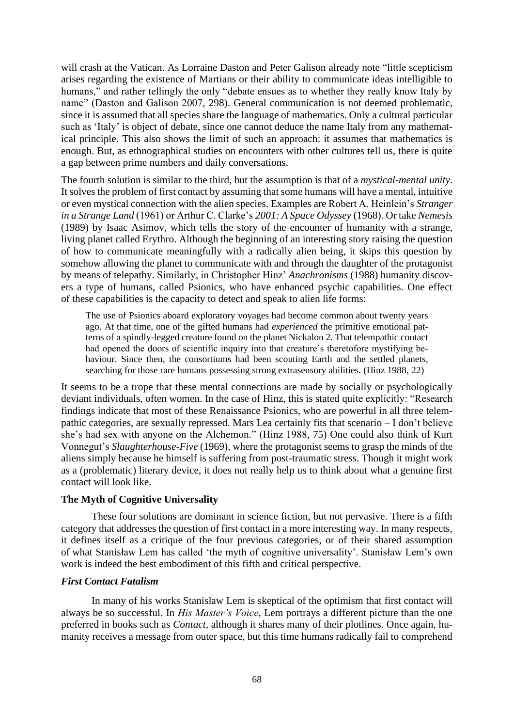will crash at the Vatican. As Lorraine Daston and Peter Galison already note "little scepticism arises regarding the existence of Martians or their ability to communicate ideas intelligible to humans," and rather tellingly the only "debate ensues as to whether they really know Italy by name" (Daston and Galison 2007, 298). General communication is not deemed problematic, since it is assumed that all species share the language of mathematics. Only a cultural particular such as 'Italy' is object of debate, since one cannot deduce the name Italy from any mathematical principle. This also shows the limit of such an approach: it assumes that mathematics is enough. But, as ethnographical studies on encounters with other cultures tell us, there is quite a gap between prime numbers and daily conversations.

The fourth solution is similar to the third, but the assumption is that of a *mystical-mental unity*. It solves the problem of first contact by assuming that some humans will have a mental, intuitive or even mystical connection with the alien species. Examples are Robert A. Heinlein's *Stranger in a Strange Land* (1961) or Arthur C. Clarke's *2001: A Space Odyssey* (1968). Or take *Nemesis*  (1989) by Isaac Asimov, which tells the story of the encounter of humanity with a strange, living planet called Erythro. Although the beginning of an interesting story raising the question of how to communicate meaningfully with a radically alien being, it skips this question by somehow allowing the planet to communicate with and through the daughter of the protagonist by means of telepathy. Similarly, in Christopher Hinz' *Anachronisms* (1988) humanity discovers a type of humans, called Psionics, who have enhanced psychic capabilities. One effect of these capabilities is the capacity to detect and speak to alien life forms:

The use of Psionics aboard exploratory voyages had become common about twenty years ago. At that time, one of the gifted humans had *experienced* the primitive emotional patterns of a spindly-legged creature found on the planet Nickalon 2. That telempathic contact had opened the doors of scientific inquiry into that creature's theretofore mystifying behaviour. Since then, the consortiums had been scouting Earth and the settled planets, searching for those rare humans possessing strong extrasensory abilities. (Hinz 1988, 22)

It seems to be a trope that these mental connections are made by socially or psychologically deviant individuals, often women. In the case of Hinz, this is stated quite explicitly: "Research findings indicate that most of these Renaissance Psionics, who are powerful in all three telempathic categories, are sexually repressed. Mars Lea certainly fits that scenario – I don't believe she's had sex with anyone on the Alchemon." (Hinz 1988, 75) One could also think of Kurt Vonnegut's *Slaughterhouse-Five* (1969), where the protagonist seems to grasp the minds of the aliens simply because he himself is suffering from post-traumatic stress. Though it might work as a (problematic) literary device, it does not really help us to think about what a genuine first contact will look like.

## **The Myth of Cognitive Universality**

These four solutions are dominant in science fiction, but not pervasive. There is a fifth category that addresses the question of first contact in a more interesting way. In many respects, it defines itself as a critique of the four previous categories, or of their shared assumption of what Stanisław Lem has called 'the myth of cognitive universality'. Stanisław Lem's own work is indeed the best embodiment of this fifth and critical perspective.

# *First Contact Fatalism*

In many of his works Stanisław Lem is skeptical of the optimism that first contact will always be so successful. In *His Master's Voice*, Lem portrays a different picture than the one preferred in books such as *Contact*, although it shares many of their plotlines. Once again, humanity receives a message from outer space, but this time humans radically fail to comprehend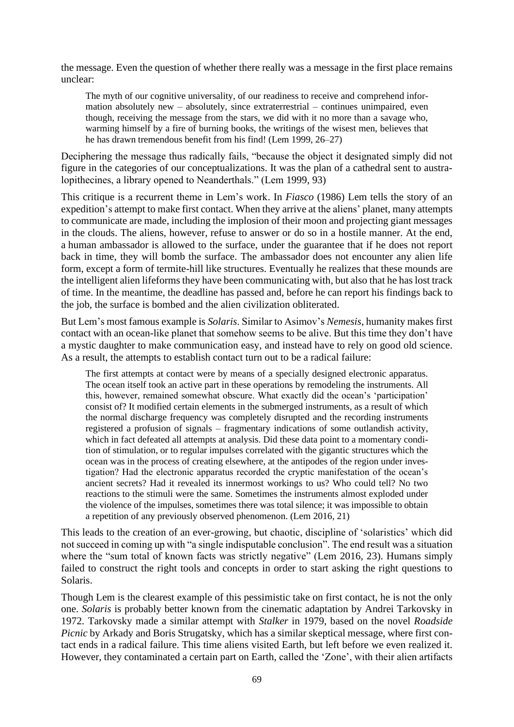the message. Even the question of whether there really was a message in the first place remains unclear:

The myth of our cognitive universality, of our readiness to receive and comprehend information absolutely new – absolutely, since extraterrestrial – continues unimpaired, even though, receiving the message from the stars, we did with it no more than a savage who, warming himself by a fire of burning books, the writings of the wisest men, believes that he has drawn tremendous benefit from his find! (Lem 1999, 26–27)

Deciphering the message thus radically fails, "because the object it designated simply did not figure in the categories of our conceptualizations. It was the plan of a cathedral sent to australopithecines, a library opened to Neanderthals." (Lem 1999, 93)

This critique is a recurrent theme in Lem's work. In *Fiasco* (1986) Lem tells the story of an expedition's attempt to make first contact. When they arrive at the aliens' planet, many attempts to communicate are made, including the implosion of their moon and projecting giant messages in the clouds. The aliens, however, refuse to answer or do so in a hostile manner. At the end, a human ambassador is allowed to the surface, under the guarantee that if he does not report back in time, they will bomb the surface. The ambassador does not encounter any alien life form, except a form of termite-hill like structures. Eventually he realizes that these mounds are the intelligent alien lifeforms they have been communicating with, but also that he has lost track of time. In the meantime, the deadline has passed and, before he can report his findings back to the job, the surface is bombed and the alien civilization obliterated.

But Lem's most famous example is *Solaris*. Similar to Asimov's *Nemesis*, humanity makes first contact with an ocean-like planet that somehow seems to be alive. But this time they don't have a mystic daughter to make communication easy, and instead have to rely on good old science. As a result, the attempts to establish contact turn out to be a radical failure:

The first attempts at contact were by means of a specially designed electronic apparatus. The ocean itself took an active part in these operations by remodeling the instruments. All this, however, remained somewhat obscure. What exactly did the ocean's 'participation' consist of? It modified certain elements in the submerged instruments, as a result of which the normal discharge frequency was completely disrupted and the recording instruments registered a profusion of signals – fragmentary indications of some outlandish activity, which in fact defeated all attempts at analysis. Did these data point to a momentary condition of stimulation, or to regular impulses correlated with the gigantic structures which the ocean was in the process of creating elsewhere, at the antipodes of the region under investigation? Had the electronic apparatus recorded the cryptic manifestation of the ocean's ancient secrets? Had it revealed its innermost workings to us? Who could tell? No two reactions to the stimuli were the same. Sometimes the instruments almost exploded under the violence of the impulses, sometimes there was total silence; it was impossible to obtain a repetition of any previously observed phenomenon. (Lem 2016, 21)

This leads to the creation of an ever-growing, but chaotic, discipline of 'solaristics' which did not succeed in coming up with "a single indisputable conclusion". The end result was a situation where the "sum total of known facts was strictly negative" (Lem 2016, 23). Humans simply failed to construct the right tools and concepts in order to start asking the right questions to Solaris.

Though Lem is the clearest example of this pessimistic take on first contact, he is not the only one. *Solaris* is probably better known from the cinematic adaptation by Andrei Tarkovsky in 1972. Tarkovsky made a similar attempt with *Stalker* in 1979, based on the novel *Roadside Picnic* by Arkady and Boris Strugatsky, which has a similar skeptical message, where first contact ends in a radical failure. This time aliens visited Earth, but left before we even realized it. However, they contaminated a certain part on Earth, called the 'Zone', with their alien artifacts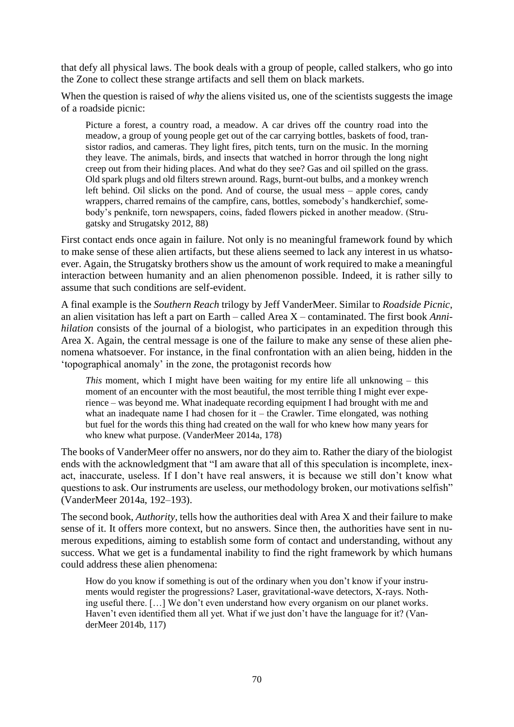that defy all physical laws. The book deals with a group of people, called stalkers, who go into the Zone to collect these strange artifacts and sell them on black markets.

When the question is raised of *why* the aliens visited us, one of the scientists suggests the image of a roadside picnic:

Picture a forest, a country road, a meadow. A car drives off the country road into the meadow, a group of young people get out of the car carrying bottles, baskets of food, transistor radios, and cameras. They light fires, pitch tents, turn on the music. In the morning they leave. The animals, birds, and insects that watched in horror through the long night creep out from their hiding places. And what do they see? Gas and oil spilled on the grass. Old spark plugs and old filters strewn around. Rags, burnt-out bulbs, and a monkey wrench left behind. Oil slicks on the pond. And of course, the usual mess – apple cores, candy wrappers, charred remains of the campfire, cans, bottles, somebody's handkerchief, somebody's penknife, torn newspapers, coins, faded flowers picked in another meadow. (Strugatsky and Strugatsky 2012, 88)

First contact ends once again in failure. Not only is no meaningful framework found by which to make sense of these alien artifacts, but these aliens seemed to lack any interest in us whatsoever. Again, the Strugatsky brothers show us the amount of work required to make a meaningful interaction between humanity and an alien phenomenon possible. Indeed, it is rather silly to assume that such conditions are self-evident.

A final example is the *Southern Reach* trilogy by Jeff VanderMeer. Similar to *Roadside Picnic*, an alien visitation has left a part on Earth – called Area X – contaminated. The first book *Annihilation* consists of the journal of a biologist, who participates in an expedition through this Area X. Again, the central message is one of the failure to make any sense of these alien phenomena whatsoever. For instance, in the final confrontation with an alien being, hidden in the 'topographical anomaly' in the zone, the protagonist records how

*This* moment, which I might have been waiting for my entire life all unknowing – this moment of an encounter with the most beautiful, the most terrible thing I might ever experience – was beyond me. What inadequate recording equipment I had brought with me and what an inadequate name I had chosen for  $it$  – the Crawler. Time elongated, was nothing but fuel for the words this thing had created on the wall for who knew how many years for who knew what purpose. (VanderMeer 2014a, 178)

The books of VanderMeer offer no answers, nor do they aim to. Rather the diary of the biologist ends with the acknowledgment that "I am aware that all of this speculation is incomplete, inexact, inaccurate, useless. If I don't have real answers, it is because we still don't know what questions to ask. Our instruments are useless, our methodology broken, our motivations selfish" (VanderMeer 2014a, 192–193).

The second book, *Authority,* tells how the authorities deal with Area X and their failure to make sense of it. It offers more context, but no answers. Since then, the authorities have sent in numerous expeditions, aiming to establish some form of contact and understanding, without any success. What we get is a fundamental inability to find the right framework by which humans could address these alien phenomena:

How do you know if something is out of the ordinary when you don't know if your instruments would register the progressions? Laser, gravitational-wave detectors, X-rays. Nothing useful there. […] We don't even understand how every organism on our planet works. Haven't even identified them all yet. What if we just don't have the language for it? (VanderMeer 2014b, 117)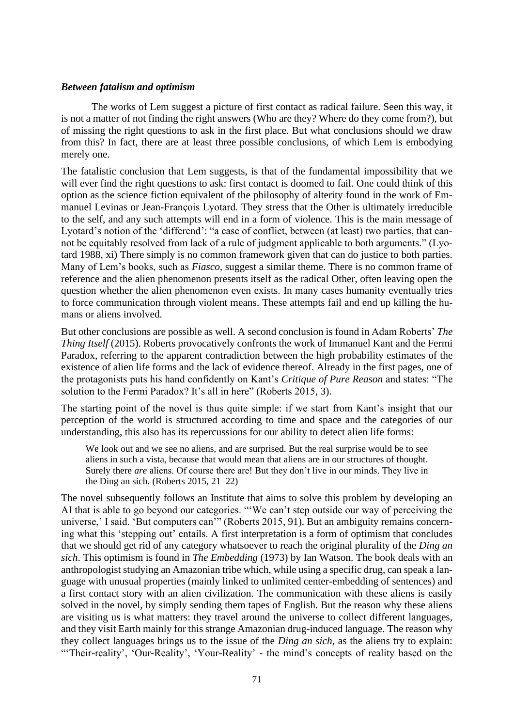#### *Between fatalism and optimism*

The works of Lem suggest a picture of first contact as radical failure. Seen this way, it is not a matter of not finding the right answers (Who are they? Where do they come from?), but of missing the right questions to ask in the first place. But what conclusions should we draw from this? In fact, there are at least three possible conclusions, of which Lem is embodying merely one.

The fatalistic conclusion that Lem suggests, is that of the fundamental impossibility that we will ever find the right questions to ask: first contact is doomed to fail. One could think of this option as the science fiction equivalent of the philosophy of alterity found in the work of Emmanuel Levinas or Jean-François Lyotard. They stress that the Other is ultimately irreducible to the self, and any such attempts will end in a form of violence. This is the main message of Lyotard's notion of the 'differend': "a case of conflict, between (at least) two parties, that cannot be equitably resolved from lack of a rule of judgment applicable to both arguments." (Lyotard 1988, xi) There simply is no common framework given that can do justice to both parties. Many of Lem's books, such as *Fiasco,* suggest a similar theme. There is no common frame of reference and the alien phenomenon presents itself as the radical Other, often leaving open the question whether the alien phenomenon even exists. In many cases humanity eventually tries to force communication through violent means. These attempts fail and end up killing the humans or aliens involved.

But other conclusions are possible as well. A second conclusion is found in Adam Roberts' *The Thing Itself* (2015). Roberts provocatively confronts the work of Immanuel Kant and the Fermi Paradox, referring to the apparent contradiction between the high probability estimates of the existence of alien life forms and the lack of evidence thereof. Already in the first pages, one of the protagonists puts his hand confidently on Kant's *Critique of Pure Reason* and states: "The solution to the Fermi Paradox? It's all in here" (Roberts 2015, 3).

The starting point of the novel is thus quite simple: if we start from Kant's insight that our perception of the world is structured according to time and space and the categories of our understanding, this also has its repercussions for our ability to detect alien life forms:

We look out and we see no aliens, and are surprised. But the real surprise would be to see aliens in such a vista, because that would mean that aliens are in our structures of thought. Surely there *are* aliens. Of course there are! But they don't live in our minds. They live in the Ding an sich. (Roberts 2015, 21–22)

The novel subsequently follows an Institute that aims to solve this problem by developing an AI that is able to go beyond our categories. "'We can't step outside our way of perceiving the universe,' I said. 'But computers can'" (Roberts 2015, 91). But an ambiguity remains concerning what this 'stepping out' entails. A first interpretation is a form of optimism that concludes that we should get rid of any category whatsoever to reach the original plurality of the *Ding an sich*. This optimism is found in *The Embedding* (1973) by Ian Watson. The book deals with an anthropologist studying an Amazonian tribe which, while using a specific drug, can speak a language with unusual properties (mainly linked to unlimited center-embedding of sentences) and a first contact story with an alien civilization. The communication with these aliens is easily solved in the novel, by simply sending them tapes of English. But the reason why these aliens are visiting us is what matters: they travel around the universe to collect different languages, and they visit Earth mainly for this strange Amazonian drug-induced language. The reason why they collect languages brings us to the issue of the *Ding an sich*, as the aliens try to explain: "Their-reality', 'Our-Reality', 'Your-Reality' - the mind's concepts of reality based on the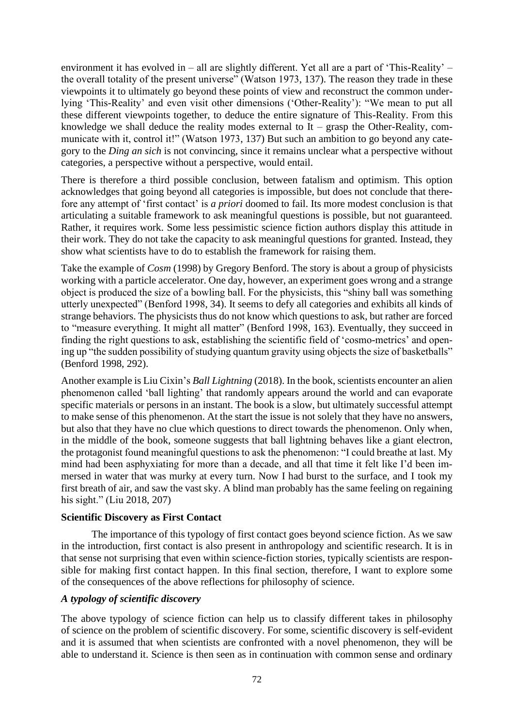environment it has evolved in – all are slightly different. Yet all are a part of 'This-Reality' – the overall totality of the present universe" (Watson 1973, 137). The reason they trade in these viewpoints it to ultimately go beyond these points of view and reconstruct the common underlying 'This-Reality' and even visit other dimensions ('Other-Reality'): "We mean to put all these different viewpoints together, to deduce the entire signature of This-Reality. From this knowledge we shall deduce the reality modes external to  $It - grasp$  the Other-Reality, communicate with it, control it!" (Watson 1973, 137) But such an ambition to go beyond any category to the *Ding an sich* is not convincing, since it remains unclear what a perspective without categories, a perspective without a perspective, would entail.

There is therefore a third possible conclusion, between fatalism and optimism. This option acknowledges that going beyond all categories is impossible, but does not conclude that therefore any attempt of 'first contact' is *a priori* doomed to fail. Its more modest conclusion is that articulating a suitable framework to ask meaningful questions is possible, but not guaranteed. Rather, it requires work. Some less pessimistic science fiction authors display this attitude in their work. They do not take the capacity to ask meaningful questions for granted. Instead, they show what scientists have to do to establish the framework for raising them.

Take the example of *Cosm* (1998) by Gregory Benford. The story is about a group of physicists working with a particle accelerator. One day, however, an experiment goes wrong and a strange object is produced the size of a bowling ball. For the physicists, this "shiny ball was something utterly unexpected" (Benford 1998, 34). It seems to defy all categories and exhibits all kinds of strange behaviors. The physicists thus do not know which questions to ask, but rather are forced to "measure everything. It might all matter" (Benford 1998, 163). Eventually, they succeed in finding the right questions to ask, establishing the scientific field of 'cosmo-metrics' and opening up "the sudden possibility of studying quantum gravity using objects the size of basketballs" (Benford 1998, 292).

Another example is Liu Cixin's *Ball Lightning* (2018). In the book, scientists encounter an alien phenomenon called 'ball lighting' that randomly appears around the world and can evaporate specific materials or persons in an instant. The book is a slow, but ultimately successful attempt to make sense of this phenomenon. At the start the issue is not solely that they have no answers, but also that they have no clue which questions to direct towards the phenomenon. Only when, in the middle of the book, someone suggests that ball lightning behaves like a giant electron, the protagonist found meaningful questions to ask the phenomenon: "I could breathe at last. My mind had been asphyxiating for more than a decade, and all that time it felt like I'd been immersed in water that was murky at every turn. Now I had burst to the surface, and I took my first breath of air, and saw the vast sky. A blind man probably has the same feeling on regaining his sight." (Liu 2018, 207)

## **Scientific Discovery as First Contact**

The importance of this typology of first contact goes beyond science fiction. As we saw in the introduction, first contact is also present in anthropology and scientific research. It is in that sense not surprising that even within science-fiction stories, typically scientists are responsible for making first contact happen. In this final section, therefore, I want to explore some of the consequences of the above reflections for philosophy of science.

# *A typology of scientific discovery*

The above typology of science fiction can help us to classify different takes in philosophy of science on the problem of scientific discovery. For some, scientific discovery is self-evident and it is assumed that when scientists are confronted with a novel phenomenon, they will be able to understand it. Science is then seen as in continuation with common sense and ordinary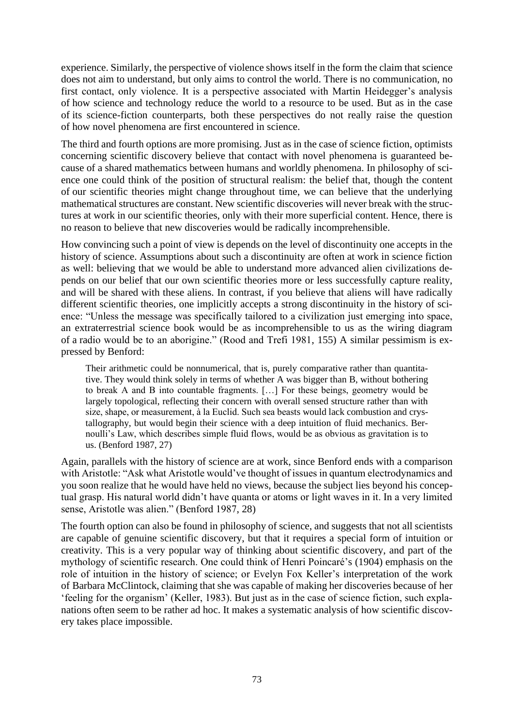experience. Similarly, the perspective of violence shows itself in the form the claim that science does not aim to understand, but only aims to control the world. There is no communication, no first contact, only violence. It is a perspective associated with Martin Heidegger's analysis of how science and technology reduce the world to a resource to be used. But as in the case of its science-fiction counterparts, both these perspectives do not really raise the question of how novel phenomena are first encountered in science.

The third and fourth options are more promising. Just as in the case of science fiction, optimists concerning scientific discovery believe that contact with novel phenomena is guaranteed because of a shared mathematics between humans and worldly phenomena. In philosophy of science one could think of the position of structural realism: the belief that, though the content of our scientific theories might change throughout time, we can believe that the underlying mathematical structures are constant. New scientific discoveries will never break with the structures at work in our scientific theories, only with their more superficial content. Hence, there is no reason to believe that new discoveries would be radically incomprehensible.

How convincing such a point of view is depends on the level of discontinuity one accepts in the history of science. Assumptions about such a discontinuity are often at work in science fiction as well: believing that we would be able to understand more advanced alien civilizations depends on our belief that our own scientific theories more or less successfully capture reality, and will be shared with these aliens. In contrast, if you believe that aliens will have radically different scientific theories, one implicitly accepts a strong discontinuity in the history of science: "Unless the message was specifically tailored to a civilization just emerging into space, an extraterrestrial science book would be as incomprehensible to us as the wiring diagram of a radio would be to an aborigine." (Rood and Trefi 1981, 155) A similar pessimism is expressed by Benford:

Their arithmetic could be nonnumerical, that is, purely comparative rather than quantitative. They would think solely in terms of whether A was bigger than B, without bothering to break A and B into countable fragments. […] For these beings, geometry would be largely topological, reflecting their concern with overall sensed structure rather than with size, shape, or measurement, à la Euclid. Such sea beasts would lack combustion and crystallography, but would begin their science with a deep intuition of fluid mechanics. Bernoulli's Law, which describes simple fluid flows, would be as obvious as gravitation is to us. (Benford 1987, 27)

Again, parallels with the history of science are at work, since Benford ends with a comparison with Aristotle: "Ask what Aristotle would've thought of issues in quantum electrodynamics and you soon realize that he would have held no views, because the subject lies beyond his conceptual grasp. His natural world didn't have quanta or atoms or light waves in it. In a very limited sense, Aristotle was alien." (Benford 1987, 28)

The fourth option can also be found in philosophy of science, and suggests that not all scientists are capable of genuine scientific discovery, but that it requires a special form of intuition or creativity. This is a very popular way of thinking about scientific discovery, and part of the mythology of scientific research. One could think of Henri Poincaré's (1904) emphasis on the role of intuition in the history of science; or Evelyn Fox Keller's interpretation of the work of Barbara McClintock, claiming that she was capable of making her discoveries because of her 'feeling for the organism' (Keller, 1983). But just as in the case of science fiction, such explanations often seem to be rather ad hoc. It makes a systematic analysis of how scientific discovery takes place impossible.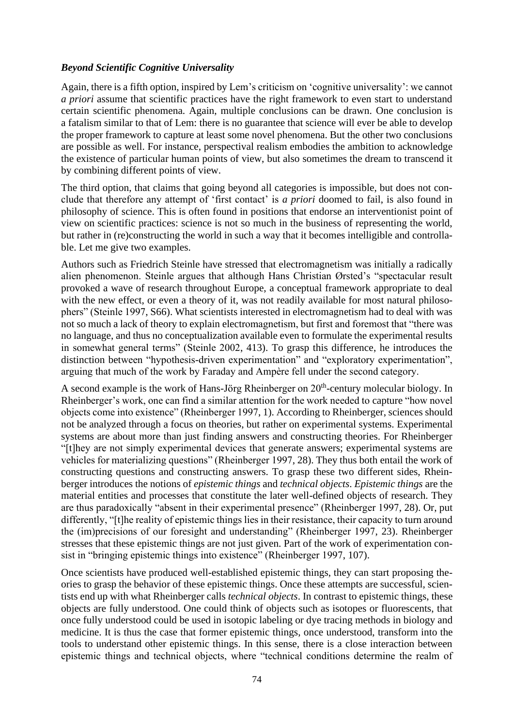# *Beyond Scientific Cognitive Universality*

Again, there is a fifth option, inspired by Lem's criticism on 'cognitive universality': we cannot *a priori* assume that scientific practices have the right framework to even start to understand certain scientific phenomena. Again, multiple conclusions can be drawn. One conclusion is a fatalism similar to that of Lem: there is no guarantee that science will ever be able to develop the proper framework to capture at least some novel phenomena. But the other two conclusions are possible as well. For instance, perspectival realism embodies the ambition to acknowledge the existence of particular human points of view, but also sometimes the dream to transcend it by combining different points of view.

The third option, that claims that going beyond all categories is impossible, but does not conclude that therefore any attempt of 'first contact' is *a priori* doomed to fail, is also found in philosophy of science. This is often found in positions that endorse an interventionist point of view on scientific practices: science is not so much in the business of representing the world, but rather in (re)constructing the world in such a way that it becomes intelligible and controllable. Let me give two examples.

Authors such as Friedrich Steinle have stressed that electromagnetism was initially a radically alien phenomenon. Steinle argues that although Hans Christian Ørsted's "spectacular result provoked a wave of research throughout Europe, a conceptual framework appropriate to deal with the new effect, or even a theory of it, was not readily available for most natural philosophers" (Steinle 1997, S66). What scientists interested in electromagnetism had to deal with was not so much a lack of theory to explain electromagnetism, but first and foremost that "there was no language, and thus no conceptualization available even to formulate the experimental results in somewhat general terms" (Steinle 2002, 413). To grasp this difference, he introduces the distinction between "hypothesis-driven experimentation" and "exploratory experimentation", arguing that much of the work by Faraday and Ampère fell under the second category.

A second example is the work of Hans-Jörg Rheinberger on  $20<sup>th</sup>$ -century molecular biology. In Rheinberger's work, one can find a similar attention for the work needed to capture "how novel objects come into existence" (Rheinberger 1997, 1). According to Rheinberger, sciences should not be analyzed through a focus on theories, but rather on experimental systems. Experimental systems are about more than just finding answers and constructing theories. For Rheinberger "[t]hey are not simply experimental devices that generate answers; experimental systems are vehicles for materializing questions" (Rheinberger 1997, 28). They thus both entail the work of constructing questions and constructing answers. To grasp these two different sides, Rheinberger introduces the notions of *epistemic things* and *technical objects*. *Epistemic things* are the material entities and processes that constitute the later well-defined objects of research. They are thus paradoxically "absent in their experimental presence" (Rheinberger 1997, 28). Or, put differently, "[t]he reality of epistemic things lies in their resistance, their capacity to turn around the (im)precisions of our foresight and understanding" (Rheinberger 1997, 23). Rheinberger stresses that these epistemic things are not just given. Part of the work of experimentation consist in "bringing epistemic things into existence" (Rheinberger 1997, 107).

Once scientists have produced well-established epistemic things, they can start proposing theories to grasp the behavior of these epistemic things. Once these attempts are successful, scientists end up with what Rheinberger calls *technical objects*. In contrast to epistemic things, these objects are fully understood. One could think of objects such as isotopes or fluorescents, that once fully understood could be used in isotopic labeling or dye tracing methods in biology and medicine. It is thus the case that former epistemic things, once understood, transform into the tools to understand other epistemic things. In this sense, there is a close interaction between epistemic things and technical objects, where "technical conditions determine the realm of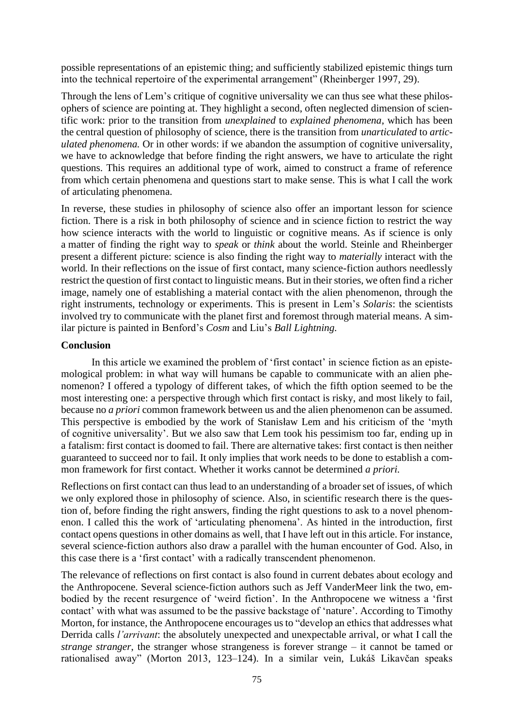possible representations of an epistemic thing; and sufficiently stabilized epistemic things turn into the technical repertoire of the experimental arrangement" (Rheinberger 1997, 29).

Through the lens of Lem's critique of cognitive universality we can thus see what these philosophers of science are pointing at. They highlight a second, often neglected dimension of scientific work: prior to the transition from *unexplained* to *explained phenomena*, which has been the central question of philosophy of science, there is the transition from *unarticulated* to *articulated phenomena.* Or in other words: if we abandon the assumption of cognitive universality, we have to acknowledge that before finding the right answers, we have to articulate the right questions. This requires an additional type of work, aimed to construct a frame of reference from which certain phenomena and questions start to make sense. This is what I call the work of articulating phenomena.

In reverse, these studies in philosophy of science also offer an important lesson for science fiction. There is a risk in both philosophy of science and in science fiction to restrict the way how science interacts with the world to linguistic or cognitive means. As if science is only a matter of finding the right way to *speak* or *think* about the world. Steinle and Rheinberger present a different picture: science is also finding the right way to *materially* interact with the world. In their reflections on the issue of first contact, many science-fiction authors needlessly restrict the question of first contact to linguistic means. But in their stories, we often find a richer image, namely one of establishing a material contact with the alien phenomenon, through the right instruments, technology or experiments. This is present in Lem's *Solaris*: the scientists involved try to communicate with the planet first and foremost through material means. A similar picture is painted in Benford's *Cosm* and Liu's *Ball Lightning.*

## **Conclusion**

In this article we examined the problem of 'first contact' in science fiction as an epistemological problem: in what way will humans be capable to communicate with an alien phenomenon? I offered a typology of different takes, of which the fifth option seemed to be the most interesting one: a perspective through which first contact is risky, and most likely to fail, because no *a priori* common framework between us and the alien phenomenon can be assumed. This perspective is embodied by the work of Stanisław Lem and his criticism of the 'myth of cognitive universality'. But we also saw that Lem took his pessimism too far, ending up in a fatalism: first contact is doomed to fail. There are alternative takes: first contact is then neither guaranteed to succeed nor to fail. It only implies that work needs to be done to establish a common framework for first contact. Whether it works cannot be determined *a priori.*

Reflections on first contact can thus lead to an understanding of a broader set of issues, of which we only explored those in philosophy of science. Also, in scientific research there is the question of, before finding the right answers, finding the right questions to ask to a novel phenomenon. I called this the work of 'articulating phenomena'. As hinted in the introduction, first contact opens questions in other domains as well, that I have left out in this article. For instance, several science-fiction authors also draw a parallel with the human encounter of God. Also, in this case there is a 'first contact' with a radically transcendent phenomenon.

The relevance of reflections on first contact is also found in current debates about ecology and the Anthropocene. Several science-fiction authors such as Jeff VanderMeer link the two, embodied by the recent resurgence of 'weird fiction'. In the Anthropocene we witness a 'first contact' with what was assumed to be the passive backstage of 'nature'. According to Timothy Morton, for instance, the Anthropocene encourages us to "develop an ethics that addresses what Derrida calls *l'arrivant*: the absolutely unexpected and unexpectable arrival, or what I call the *strange stranger*, the stranger whose strangeness is forever strange – it cannot be tamed or rationalised away" (Morton 2013, 123–124). In a similar vein, Lukáš Likavčan speaks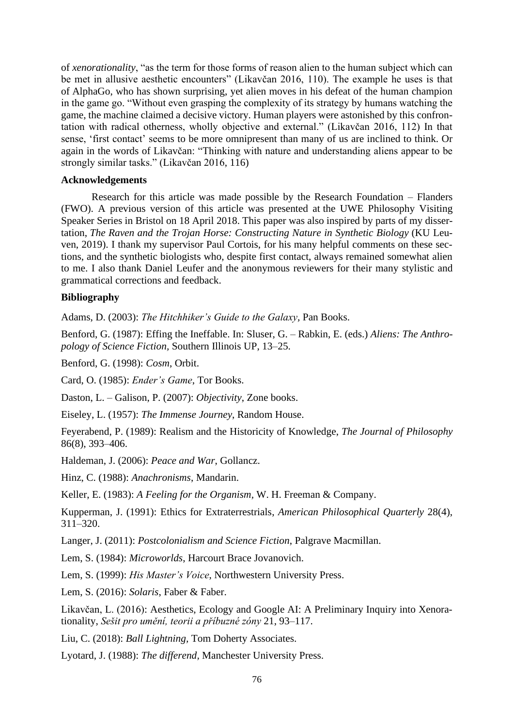of *xenorationality*, "as the term for those forms of reason alien to the human subject which can be met in allusive aesthetic encounters" (Likavčan 2016, 110). The example he uses is that of AlphaGo, who has shown surprising, yet alien moves in his defeat of the human champion in the game go. "Without even grasping the complexity of its strategy by humans watching the game, the machine claimed a decisive victory. Human players were astonished by this confrontation with radical otherness, wholly objective and external." (Likavčan 2016, 112) In that sense, 'first contact' seems to be more omnipresent than many of us are inclined to think. Or again in the words of Likavčan: "Thinking with nature and understanding aliens appear to be strongly similar tasks." (Likavčan 2016, 116)

#### **Acknowledgements**

Research for this article was made possible by the Research Foundation – Flanders (FWO). A previous version of this article was presented at the UWE Philosophy Visiting Speaker Series in Bristol on 18 April 2018. This paper was also inspired by parts of my dissertation, *The Raven and the Trojan Horse: Constructing Nature in Synthetic Biology* (KU Leuven, 2019). I thank my supervisor Paul Cortois, for his many helpful comments on these sections, and the synthetic biologists who, despite first contact, always remained somewhat alien to me. I also thank Daniel Leufer and the anonymous reviewers for their many stylistic and grammatical corrections and feedback.

## **Bibliography**

Adams, D. (2003): *The Hitchhiker's Guide to the Galaxy,* Pan Books.

Benford, G. (1987): Effing the Ineffable. In: Sluser, G. – Rabkin, E. (eds.) *Aliens: The Anthropology of Science Fiction,* Southern Illinois UP, 13–25.

Benford, G. (1998): *Cosm*, Orbit.

Card, O. (1985): *Ender's Game*, Tor Books.

Daston, L. – Galison, P. (2007): *Objectivity*, Zone books.

Eiseley, L. (1957): *The Immense Journey*, Random House.

Feyerabend, P. (1989): Realism and the Historicity of Knowledge, *The Journal of Philosophy*  86(8), 393–406.

Haldeman, J. (2006): *Peace and War*, Gollancz.

Hinz, C. (1988): *Anachronisms*, Mandarin.

Keller, E. (1983): *A Feeling for the Organism,* W. H. Freeman & Company.

Kupperman, J. (1991): Ethics for Extraterrestrials, *American Philosophical Quarterly* 28(4), 311–320.

Langer, J. (2011): *Postcolonialism and Science Fiction*, Palgrave Macmillan.

Lem, S. (1984): *Microworlds*, Harcourt Brace Jovanovich.

Lem, S. (1999): *His Master's Voice*, Northwestern University Press.

Lem, S. (2016): *Solaris*, Faber & Faber.

Likavčan, L. (2016): Aesthetics, Ecology and Google AI: A Preliminary Inquiry into Xenorationality, *Sešit pro umění, teorii a příbuzné zóny* 21, 93–117.

Liu, C. (2018): *Ball Lightning,* Tom Doherty Associates.

Lyotard, J. (1988): *The differend,* Manchester University Press.